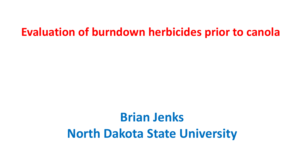## **Evaluation of burndown herbicides prior to canola**

# **Brian Jenks North Dakota State University**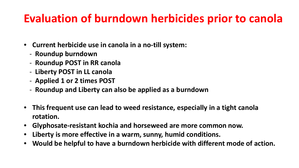## **Evaluation of burndown herbicides prior to canola**

- **Current herbicide use in canola in a no-till system:**
	- **Roundup burndown**
	- **Roundup POST in RR canola**
	- **Liberty POST in LL canola**
	- **Applied 1 or 2 times POST**
	- **Roundup and Liberty can also be applied as a burndown**
- **This frequent use can lead to weed resistance, especially in a tight canola rotation.**
- **Glyphosate-resistant kochia and horseweed are more common now.**
- **Liberty is more effective in a warm, sunny, humid conditions.**
- **Would be helpful to have a burndown herbicide with different mode of action.**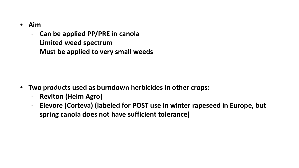- **Aim**
	- **Can be applied PP/PRE in canola**
	- **Limited weed spectrum**
	- **Must be applied to very small weeds**

- **Two products used as burndown herbicides in other crops:**
	- **Reviton (Helm Agro)**
	- **Elevore (Corteva) (labeled for POST use in winter rapeseed in Europe, but spring canola does not have sufficient tolerance)**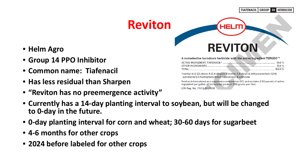**TIAFENACIL GROUP 14 HERBICIDE** 

## **Reviton**

- **Helm Agro**
- **Group 14 PPO Inhibitor**
- **Common name: Tiafenacil**
- **Has less residual than Sharpen**
- **"Reviton has no preemergence activity"**

#### A nonselective burndown herbicide with the active ingredient TERGEO™

**REVITON** 

HEL

\*methyl N-[2-[[2-chloro-5-[3,6-dihydro-3-methyl-2,6-dioxo-4-(trifluoromethyl)-1(2H)pyrimidinyl]-4-fluorophenyl]thio]-1-oxopropyl]-β-alaninate

Reviton is formulated as a suspension concentrate (SC) and contains 2.83 pounds of active ingredient per gallon of formulated product (339 grams per liter). EPA Reg. No. 71512-37-74530

- **Currently has a 14-day planting interval to soybean, but will be changed to 0-day in the future.**
- **0-day planting interval for corn and wheat; 30-60 days for sugarbeet**
- **4-6 months for other crops**
- **2024 before labeled for other crops**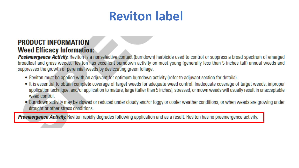## **Reviton label**

#### **PRODUCT INFORMATION Weed Efficacy Information:**

**Postemergence Activity.** Reviton is a nonselective contact (burndown) herbicide used to control or suppress a broad spectrum of emerged broadleaf and grass weeds. Reviton has excellent burndown activity on most young (generally less than 5 inches tall) annual weeds and suppresses the growth of perennial weeds by desiccating green foliage.

- Reviton must be applied with an adjuvant for optimum burndown activity (refer to adjuvant section for details).
- It is essential to obtain complete coverage of target weeds for adequate weed control. Inadequate coverage of target weeds, improper application technique, and/or application to mature, large (taller than 5 inches), stressed, or mown weeds will usually result in unacceptable weed control.
- Burndown activity may be slowed or reduced under cloudy and/or foggy or cooler weather conditions, or when weeds are growing under drought or other stress conditions.

**Preemergence Activity.** Reviton rapidly degrades following application and as a result, Reviton has no preemergence activity.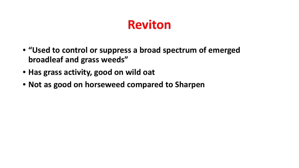## **Reviton**

- **"Used to control or suppress a broad spectrum of emerged broadleaf and grass weeds"**
- **Has grass activity, good on wild oat**
- **Not as good on horseweed compared to Sharpen**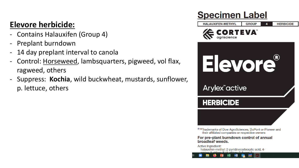#### **Elevore herbicide:**

- Contains Halauxifen (Group 4)
- Preplant burndown
- 14 day preplant interval to canola
- Control: Horseweed, lambsquarters, pigweed, vol flax, ragweed, others
- Suppress: **Kochia**, wild buckwheat, mustards, sunflower, p. lettuce, others

### **Specimen Label**

**GROUP HALAUXIFEN-METHYL HERBICIDE** 





Arylex<sup>"</sup>active

**HERBICIDE** 

®™Trademarks of Dow AgroSciences, DuPont or Pioneer and their affiliated companies or respective owners

For pre-plant burndown control of annual broadleaf weeds.

**Active Ingredient:** 

halauxifen-methyl: 2-pyridinecarboxylic acid, 4-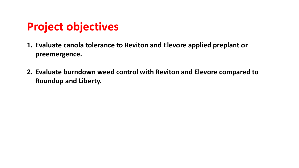## **Project objectives**

- **1. Evaluate canola tolerance to Reviton and Elevore applied preplant or preemergence.**
- **2. Evaluate burndown weed control with Reviton and Elevore compared to Roundup and Liberty.**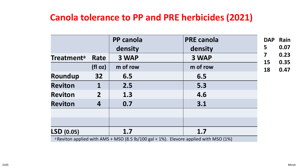#### **Canola tolerance to PP and PRE herbicides (2021)**

|                   |                  | <b>PP canola</b> | <b>PRE canola</b>                                                                                | <b>DAP</b> | Rain         |
|-------------------|------------------|------------------|--------------------------------------------------------------------------------------------------|------------|--------------|
|                   |                  | density          | density                                                                                          | 5          | 0.07         |
| <b>Treatmenta</b> | Rate             | 3 WAP            | 3 WAP                                                                                            | 7          | 0.23         |
|                   | (fI oz)          | m of row         | m of row                                                                                         | 15<br>18   | 0.35<br>0.47 |
| Roundup           | 32 <sub>2</sub>  | 6.5              | 6.5                                                                                              |            |              |
| <b>Reviton</b>    |                  | 2.5              | 5.3                                                                                              |            |              |
| <b>Reviton</b>    | $\overline{2}$   | 1.3              | 4.6                                                                                              |            |              |
| <b>Reviton</b>    | $\boldsymbol{4}$ | 0.7              | 3.1                                                                                              |            |              |
|                   |                  |                  |                                                                                                  |            |              |
|                   |                  |                  |                                                                                                  |            |              |
| LSD(0.05)         |                  | 1.7              | 1.7                                                                                              |            |              |
|                   |                  |                  | <sup>a</sup> Reviton applied with AMS + MSO (8.5 lb/100 gal + 1%). Elevore applied with MSO (1%) |            |              |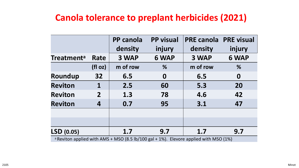### **Canola tolerance to preplant herbicides (2021)**

|                                                                                                  |                 | <b>PP</b> canola<br>density | <b>PP</b> visual<br>injury | <b>PRE canola</b><br>density | <b>PRE visual</b><br>injury |
|--------------------------------------------------------------------------------------------------|-----------------|-----------------------------|----------------------------|------------------------------|-----------------------------|
| <b>Treatmenta</b>                                                                                | Rate            | 3 WAP                       | 6 WAP                      | 3 WAP                        | 6 WAP                       |
|                                                                                                  | (fI oz)         | m of row                    | %                          | m of row                     | %                           |
| Roundup                                                                                          | 32 <sub>2</sub> | 6.5                         | 0                          | 6.5                          | $\boldsymbol{0}$            |
| <b>Reviton</b>                                                                                   | 1               | 2.5                         | 60                         | 5.3                          | 20                          |
| <b>Reviton</b>                                                                                   | $\overline{2}$  | 1.3                         | 78                         | 4.6                          | 42                          |
| <b>Reviton</b>                                                                                   | 4               | 0.7                         | 95                         | 3.1                          | 47                          |
|                                                                                                  |                 |                             |                            |                              |                             |
| <b>LSD</b> (0.05)                                                                                |                 | 1.7                         | 9.7                        | 1.7                          | 9.7                         |
| <sup>a</sup> Reviton applied with AMS + MSO (8.5 lb/100 gal + 1%). Elevore applied with MSO (1%) |                 |                             |                            |                              |                             |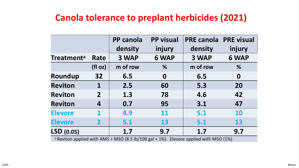### **Canola tolerance to preplant herbicides (2021)**

|                                                                                                  |                | <b>PP</b> canola<br>density | <b>PP visual</b><br>injury | <b>PRE canola</b><br>density | <b>PRE visual</b><br>injury |
|--------------------------------------------------------------------------------------------------|----------------|-----------------------------|----------------------------|------------------------------|-----------------------------|
| <b>Treatmenta</b>                                                                                | Rate           | 3 WAP                       | 6 WAP                      | 3 WAP                        | 6 WAP                       |
|                                                                                                  | (fI oz)        | m of row                    | %                          | m of row                     | %                           |
| Roundup                                                                                          | 32             | 6.5                         | 0                          | 6.5                          | $\boldsymbol{0}$            |
| <b>Reviton</b>                                                                                   | 1              | 2.5                         | 60                         | 5.3                          | 20                          |
| <b>Reviton</b>                                                                                   | $\overline{2}$ | 1.3                         | 78                         | 4.6                          | 42                          |
| <b>Reviton</b>                                                                                   | 4              | 0.7                         | 95                         | 3.1                          | 47                          |
| <b>Elevore</b>                                                                                   |                | 4.9                         | <b>11</b>                  | 5.1                          | 10                          |
| <b>Elevore</b>                                                                                   | $\mathbf 2$    | 5.1                         | 13                         | 5.1                          | 13                          |
| LSD (0.05)                                                                                       |                | 1.7                         | 9.7                        | 1.7                          | 9.7                         |
| <sup>a</sup> Reviton applied with AMS + MSO (8.5 lb/100 gal + 1%). Elevore applied with MSO (1%) |                |                             |                            |                              |                             |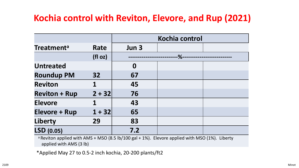#### **Kochia control with Reviton, Elevore, and Rup (2021)**

|                      |                 | Kochia control   |        |  |
|----------------------|-----------------|------------------|--------|--|
| <b>Treatmenta</b>    | Rate            | Jun 3            |        |  |
|                      | (fI oz)         |                  | $-$ %- |  |
| <b>Untreated</b>     |                 | $\boldsymbol{0}$ |        |  |
| <b>Roundup PM</b>    | 32 <sub>2</sub> | 67               |        |  |
| <b>Reviton</b>       | 1               | 45               |        |  |
| <b>Reviton + Rup</b> | $2 + 32$        | 76               |        |  |
| <b>Elevore</b>       |                 | 43               |        |  |
| <b>Elevore + Rup</b> | $1 + 32$        | 65               |        |  |
| Liberty              | 29              | 83               |        |  |
| LSD (0.05)           |                 | 7.2              |        |  |

<sup>a</sup> Reviton applied with AMS + MSO (8.5 lb/100 gal + 1%). Elevore applied with MSO (1%). Liberty applied with AMS (3 lb)

\*Applied May 27 to 0.5-2 inch kochia, 20-200 plants/ft2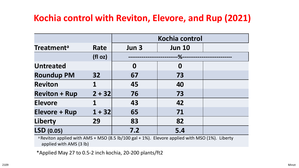#### **Kochia control with Reviton, Elevore, and Rup (2021)**

|                      |          | Kochia control   |                  |  |
|----------------------|----------|------------------|------------------|--|
| <b>Treatmenta</b>    | Rate     | Jun 3            | <b>Jun 10</b>    |  |
|                      | (fI oz)  | $-$ %-           |                  |  |
| <b>Untreated</b>     |          | $\boldsymbol{0}$ | $\boldsymbol{0}$ |  |
| <b>Roundup PM</b>    | 32       | 67               | 73               |  |
| <b>Reviton</b>       |          | 45               | 40               |  |
| <b>Reviton + Rup</b> | $2 + 32$ | 76               | 73               |  |
| <b>Elevore</b>       |          | 43               | 42               |  |
| <b>Elevore + Rup</b> | $1 + 32$ | 65               | 71               |  |
| <b>Liberty</b>       | 29       | 83               | 82               |  |
| LSD (0.05)           |          | 7.2              | 5.4              |  |

<sup>a</sup> Reviton applied with AMS + MSO (8.5 lb/100 gal + 1%). Elevore applied with MSO (1%). Liberty applied with AMS (3 lb)

\*Applied May 27 to 0.5-2 inch kochia, 20-200 plants/ft2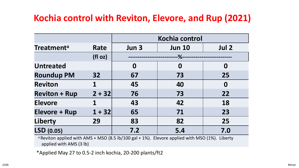#### **Kochia control with Reviton, Elevore, and Rup (2021)**

|                      |                 | Kochia control   |               |                  |  |
|----------------------|-----------------|------------------|---------------|------------------|--|
| <b>Treatmenta</b>    | Rate            | Jun 3            | <b>Jun 10</b> | Jul 2            |  |
|                      | (fI oz)         | $-$ %-           |               |                  |  |
| <b>Untreated</b>     |                 | $\boldsymbol{0}$ | 0             | $\boldsymbol{0}$ |  |
| <b>Roundup PM</b>    | 32 <sub>2</sub> | 67               | 73            | 25               |  |
| <b>Reviton</b>       | 1               | 45               | 40            | $\boldsymbol{0}$ |  |
| <b>Reviton + Rup</b> | $2 + 32$        | 76               | 73            | 22               |  |
| <b>Elevore</b>       |                 | 43               | 42            | 18               |  |
| <b>Elevore + Rup</b> | $1 + 32$        | 65               | 71            | 23               |  |
| <b>Liberty</b>       | 29              | 83               | 82            | 25               |  |
| LSD (0.05)           |                 | 7.2              | 5.4           | 7.0              |  |

<sup>a</sup> Reviton applied with AMS + MSO (8.5 lb/100 gal + 1%). Elevore applied with MSO (1%). Liberty applied with AMS (3 lb)

\*Applied May 27 to 0.5-2 inch kochia, 20-200 plants/ft2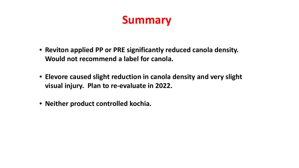## **Summary**

- **Reviton applied PP or PRE significantly reduced canola density. Would not recommend a label for canola.**
- **Elevore caused slight reduction in canola density and very slight visual injury. Plan to re-evaluate in 2022.**
- **Neither product controlled kochia.**